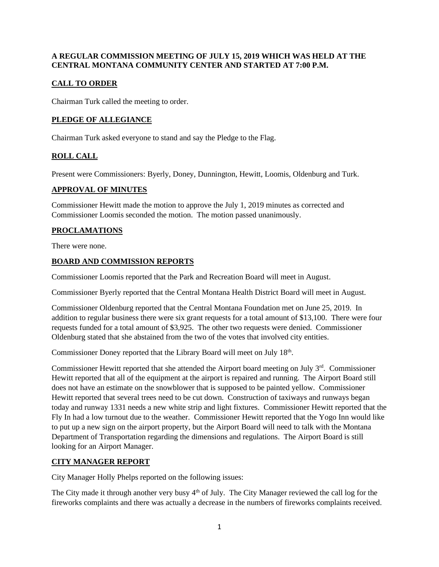## **A REGULAR COMMISSION MEETING OF JULY 15, 2019 WHICH WAS HELD AT THE CENTRAL MONTANA COMMUNITY CENTER AND STARTED AT 7:00 P.M.**

# **CALL TO ORDER**

Chairman Turk called the meeting to order.

## **PLEDGE OF ALLEGIANCE**

Chairman Turk asked everyone to stand and say the Pledge to the Flag.

# **ROLL CALL**

Present were Commissioners: Byerly, Doney, Dunnington, Hewitt, Loomis, Oldenburg and Turk.

## **APPROVAL OF MINUTES**

Commissioner Hewitt made the motion to approve the July 1, 2019 minutes as corrected and Commissioner Loomis seconded the motion. The motion passed unanimously.

# **PROCLAMATIONS**

There were none.

## **BOARD AND COMMISSION REPORTS**

Commissioner Loomis reported that the Park and Recreation Board will meet in August.

Commissioner Byerly reported that the Central Montana Health District Board will meet in August.

Commissioner Oldenburg reported that the Central Montana Foundation met on June 25, 2019. In addition to regular business there were six grant requests for a total amount of \$13,100. There were four requests funded for a total amount of \$3,925. The other two requests were denied. Commissioner Oldenburg stated that she abstained from the two of the votes that involved city entities.

Commissioner Doney reported that the Library Board will meet on July 18<sup>th</sup>.

Commissioner Hewitt reported that she attended the Airport board meeting on July 3rd. Commissioner Hewitt reported that all of the equipment at the airport is repaired and running. The Airport Board still does not have an estimate on the snowblower that is supposed to be painted yellow. Commissioner Hewitt reported that several trees need to be cut down. Construction of taxiways and runways began today and runway 1331 needs a new white strip and light fixtures. Commissioner Hewitt reported that the Fly In had a low turnout due to the weather. Commissioner Hewitt reported that the Yogo Inn would like to put up a new sign on the airport property, but the Airport Board will need to talk with the Montana Department of Transportation regarding the dimensions and regulations. The Airport Board is still looking for an Airport Manager.

## **CITY MANAGER REPORT**

City Manager Holly Phelps reported on the following issues:

The City made it through another very busy  $4<sup>th</sup>$  of July. The City Manager reviewed the call log for the fireworks complaints and there was actually a decrease in the numbers of fireworks complaints received.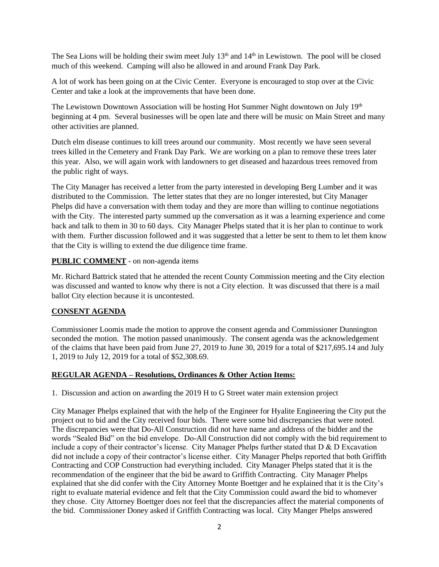The Sea Lions will be holding their swim meet July  $13<sup>th</sup>$  and  $14<sup>th</sup>$  in Lewistown. The pool will be closed much of this weekend. Camping will also be allowed in and around Frank Day Park.

A lot of work has been going on at the Civic Center. Everyone is encouraged to stop over at the Civic Center and take a look at the improvements that have been done.

The Lewistown Downtown Association will be hosting Hot Summer Night downtown on July 19<sup>th</sup> beginning at 4 pm. Several businesses will be open late and there will be music on Main Street and many other activities are planned.

Dutch elm disease continues to kill trees around our community. Most recently we have seen several trees killed in the Cemetery and Frank Day Park. We are working on a plan to remove these trees later this year. Also, we will again work with landowners to get diseased and hazardous trees removed from the public right of ways.

The City Manager has received a letter from the party interested in developing Berg Lumber and it was distributed to the Commission. The letter states that they are no longer interested, but City Manager Phelps did have a conversation with them today and they are more than willing to continue negotiations with the City. The interested party summed up the conversation as it was a learning experience and come back and talk to them in 30 to 60 days. City Manager Phelps stated that it is her plan to continue to work with them. Further discussion followed and it was suggested that a letter be sent to them to let them know that the City is willing to extend the due diligence time frame.

## **PUBLIC COMMENT** - on non-agenda items

Mr. Richard Battrick stated that he attended the recent County Commission meeting and the City election was discussed and wanted to know why there is not a City election. It was discussed that there is a mail ballot City election because it is uncontested.

## **CONSENT AGENDA**

Commissioner Loomis made the motion to approve the consent agenda and Commissioner Dunnington seconded the motion. The motion passed unanimously. The consent agenda was the acknowledgement of the claims that have been paid from June 27, 2019 to June 30, 2019 for a total of \$217,695.14 and July 1, 2019 to July 12, 2019 for a total of \$52,308.69.

### **REGULAR AGENDA – Resolutions, Ordinances & Other Action Items:**

1. Discussion and action on awarding the 2019 H to G Street water main extension project

City Manager Phelps explained that with the help of the Engineer for Hyalite Engineering the City put the project out to bid and the City received four bids. There were some bid discrepancies that were noted. The discrepancies were that Do-All Construction did not have name and address of the bidder and the words "Sealed Bid" on the bid envelope. Do-All Construction did not comply with the bid requirement to include a copy of their contractor's license. City Manager Phelps further stated that D & D Excavation did not include a copy of their contractor's license either. City Manager Phelps reported that both Griffith Contracting and COP Construction had everything included. City Manager Phelps stated that it is the recommendation of the engineer that the bid be award to Griffith Contracting. City Manager Phelps explained that she did confer with the City Attorney Monte Boettger and he explained that it is the City's right to evaluate material evidence and felt that the City Commission could award the bid to whomever they chose. City Attorney Boettger does not feel that the discrepancies affect the material components of the bid. Commissioner Doney asked if Griffith Contracting was local. City Manger Phelps answered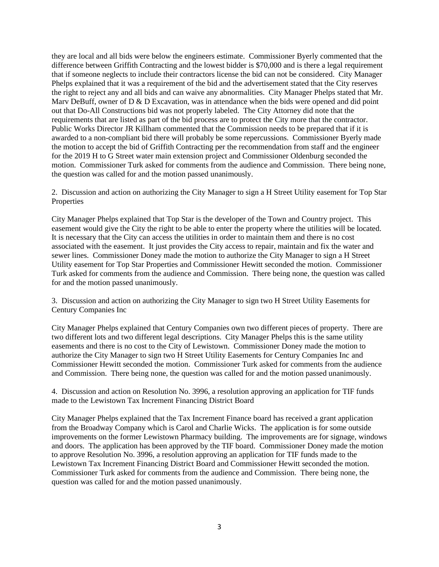they are local and all bids were below the engineers estimate. Commissioner Byerly commented that the difference between Griffith Contracting and the lowest bidder is \$70,000 and is there a legal requirement that if someone neglects to include their contractors license the bid can not be considered. City Manager Phelps explained that it was a requirement of the bid and the advertisement stated that the City reserves the right to reject any and all bids and can waive any abnormalities. City Manager Phelps stated that Mr. Mary DeBuff, owner of  $D \& D$  Excavation, was in attendance when the bids were opened and did point out that Do-All Constructions bid was not properly labeled. The City Attorney did note that the requirements that are listed as part of the bid process are to protect the City more that the contractor. Public Works Director JR Killham commented that the Commission needs to be prepared that if it is awarded to a non-compliant bid there will probably be some repercussions. Commissioner Byerly made the motion to accept the bid of Griffith Contracting per the recommendation from staff and the engineer for the 2019 H to G Street water main extension project and Commissioner Oldenburg seconded the motion. Commissioner Turk asked for comments from the audience and Commission. There being none, the question was called for and the motion passed unanimously.

2. Discussion and action on authorizing the City Manager to sign a H Street Utility easement for Top Star Properties

City Manager Phelps explained that Top Star is the developer of the Town and Country project. This easement would give the City the right to be able to enter the property where the utilities will be located. It is necessary that the City can access the utilities in order to maintain them and there is no cost associated with the easement. It just provides the City access to repair, maintain and fix the water and sewer lines. Commissioner Doney made the motion to authorize the City Manager to sign a H Street Utility easement for Top Star Properties and Commissioner Hewitt seconded the motion. Commissioner Turk asked for comments from the audience and Commission. There being none, the question was called for and the motion passed unanimously.

3. Discussion and action on authorizing the City Manager to sign two H Street Utility Easements for Century Companies Inc

City Manager Phelps explained that Century Companies own two different pieces of property. There are two different lots and two different legal descriptions. City Manager Phelps this is the same utility easements and there is no cost to the City of Lewistown. Commissioner Doney made the motion to authorize the City Manager to sign two H Street Utility Easements for Century Companies Inc and Commissioner Hewitt seconded the motion. Commissioner Turk asked for comments from the audience and Commission. There being none, the question was called for and the motion passed unanimously.

4. Discussion and action on Resolution No. 3996, a resolution approving an application for TIF funds made to the Lewistown Tax Increment Financing District Board

City Manager Phelps explained that the Tax Increment Finance board has received a grant application from the Broadway Company which is Carol and Charlie Wicks. The application is for some outside improvements on the former Lewistown Pharmacy building. The improvements are for signage, windows and doors. The application has been approved by the TIF board. Commissioner Doney made the motion to approve Resolution No. 3996, a resolution approving an application for TIF funds made to the Lewistown Tax Increment Financing District Board and Commissioner Hewitt seconded the motion. Commissioner Turk asked for comments from the audience and Commission. There being none, the question was called for and the motion passed unanimously.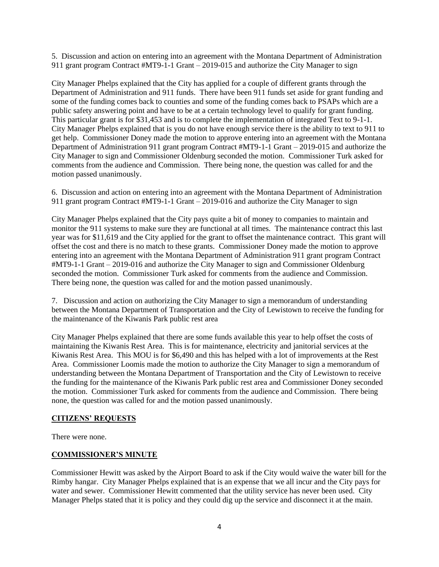5. Discussion and action on entering into an agreement with the Montana Department of Administration 911 grant program Contract #MT9-1-1 Grant – 2019-015 and authorize the City Manager to sign

City Manager Phelps explained that the City has applied for a couple of different grants through the Department of Administration and 911 funds. There have been 911 funds set aside for grant funding and some of the funding comes back to counties and some of the funding comes back to PSAPs which are a public safety answering point and have to be at a certain technology level to qualify for grant funding. This particular grant is for \$31,453 and is to complete the implementation of integrated Text to 9-1-1. City Manager Phelps explained that is you do not have enough service there is the ability to text to 911 to get help. Commissioner Doney made the motion to approve entering into an agreement with the Montana Department of Administration 911 grant program Contract #MT9-1-1 Grant – 2019-015 and authorize the City Manager to sign and Commissioner Oldenburg seconded the motion. Commissioner Turk asked for comments from the audience and Commission. There being none, the question was called for and the motion passed unanimously.

6. Discussion and action on entering into an agreement with the Montana Department of Administration 911 grant program Contract #MT9-1-1 Grant – 2019-016 and authorize the City Manager to sign

City Manager Phelps explained that the City pays quite a bit of money to companies to maintain and monitor the 911 systems to make sure they are functional at all times. The maintenance contract this last year was for \$11,619 and the City applied for the grant to offset the maintenance contract. This grant will offset the cost and there is no match to these grants. Commissioner Doney made the motion to approve entering into an agreement with the Montana Department of Administration 911 grant program Contract #MT9-1-1 Grant – 2019-016 and authorize the City Manager to sign and Commissioner Oldenburg seconded the motion. Commissioner Turk asked for comments from the audience and Commission. There being none, the question was called for and the motion passed unanimously.

7. Discussion and action on authorizing the City Manager to sign a memorandum of understanding between the Montana Department of Transportation and the City of Lewistown to receive the funding for the maintenance of the Kiwanis Park public rest area

City Manager Phelps explained that there are some funds available this year to help offset the costs of maintaining the Kiwanis Rest Area. This is for maintenance, electricity and janitorial services at the Kiwanis Rest Area. This MOU is for \$6,490 and this has helped with a lot of improvements at the Rest Area. Commissioner Loomis made the motion to authorize the City Manager to sign a memorandum of understanding between the Montana Department of Transportation and the City of Lewistown to receive the funding for the maintenance of the Kiwanis Park public rest area and Commissioner Doney seconded the motion. Commissioner Turk asked for comments from the audience and Commission. There being none, the question was called for and the motion passed unanimously.

### **CITIZENS' REQUESTS**

There were none.

### **COMMISSIONER'S MINUTE**

Commissioner Hewitt was asked by the Airport Board to ask if the City would waive the water bill for the Rimby hangar. City Manager Phelps explained that is an expense that we all incur and the City pays for water and sewer. Commissioner Hewitt commented that the utility service has never been used. City Manager Phelps stated that it is policy and they could dig up the service and disconnect it at the main.